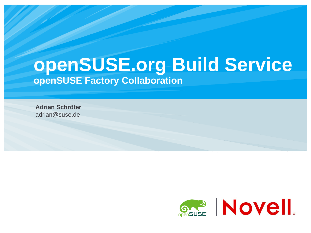# **openSUSE.org Build Service openSUSE Factory Collaboration**

**Adrian Schröter**  adrian@suse.de

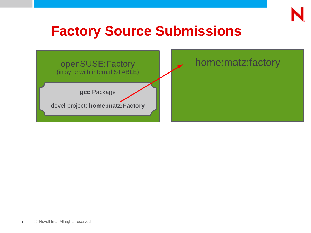

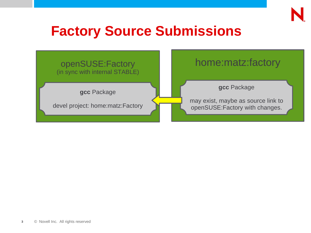

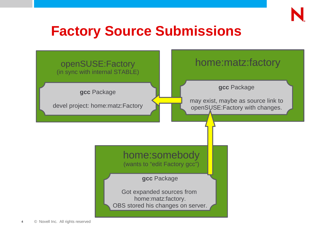

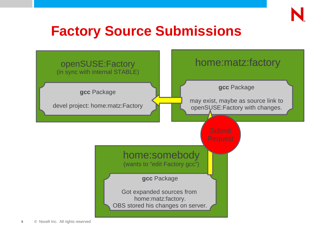

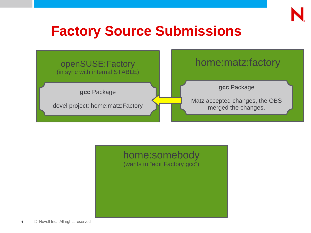



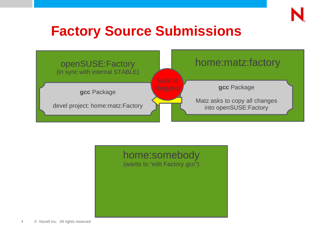



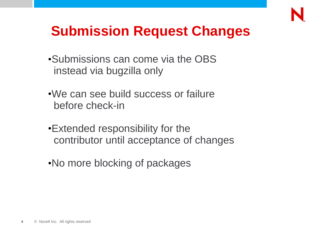

# **Submission Request Changes**

- •Submissions can come via the OBS instead via bugzilla only
- •We can see build success or failure before check-in
- •Extended responsibility for the contributor until acceptance of changes
- •No more blocking of packages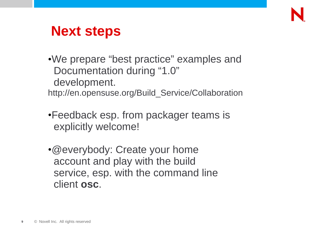

# **Next steps**

•We prepare "best practice" examples and Documentation during "1.0" development.

http://en.opensuse.org/Build\_Service/Collaboration

- •Feedback esp. from packager teams is explicitly welcome!
- •@everybody: Create your home account and play with the build service, esp. with the command line client **osc**.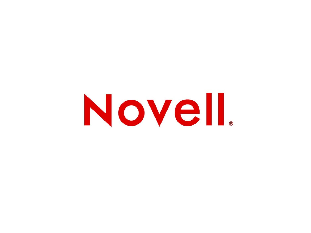